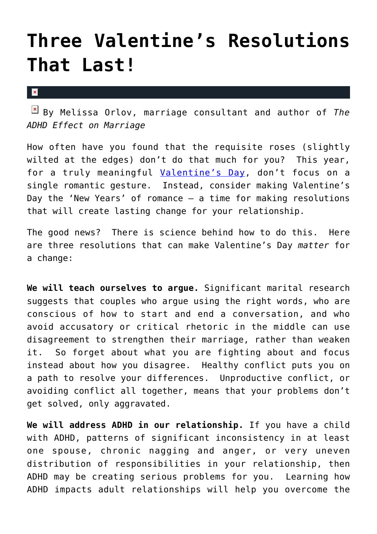## **[Three Valentine's Resolutions](https://cupidspulse.com/10769/three-valentines-resolutions-that-last/) [That Last!](https://cupidspulse.com/10769/three-valentines-resolutions-that-last/)**

 $\mathbf x$ 

By Melissa Orlov, marriage consultant and author of *The ADHD Effect on Marriage*

How often have you found that the requisite roses (slightly wilted at the edges) don't do that much for you? This year, for a truly meaningful [Valentine's Day](http://cupidspulse.com/tag/valentines-day/), don't focus on a single romantic gesture. Instead, consider making Valentine's Day the 'New Years' of romance – a time for making resolutions that will create lasting change for your relationship.

The good news? There is science behind how to do this. Here are three resolutions that can make Valentine's Day *matter* for a change:

**We will teach ourselves to argue.** Significant marital research suggests that couples who argue using the right words, who are conscious of how to start and end a conversation, and who avoid accusatory or critical rhetoric in the middle can use disagreement to strengthen their marriage, rather than weaken it. So forget about what you are fighting about and focus instead about how you disagree. Healthy conflict puts you on a path to resolve your differences. Unproductive conflict, or avoiding conflict all together, means that your problems don't get solved, only aggravated.

**We will address ADHD in our relationship.** If you have a child with ADHD, patterns of significant inconsistency in at least one spouse, chronic nagging and anger, or very uneven distribution of responsibilities in your relationship, then ADHD may be creating serious problems for you. Learning how ADHD impacts adult relationships will help you overcome the